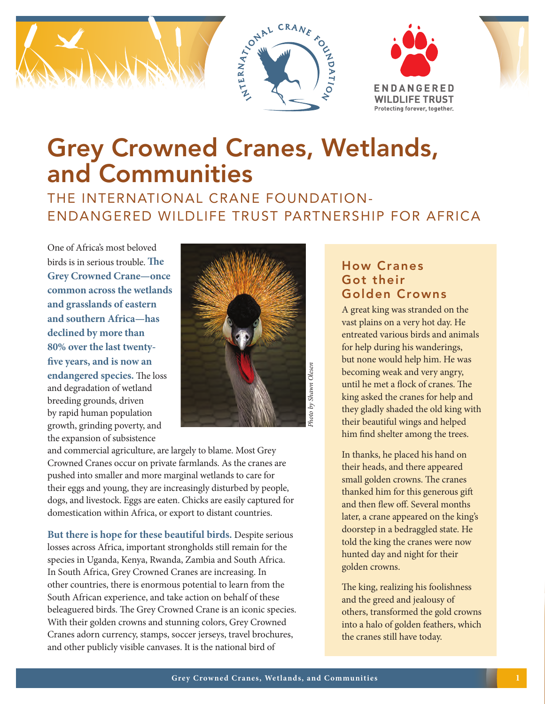





# Grey Crowned Cranes, Wetlands, and Communities

# THE INTERNATIONAL CRANE FOUNDATION-ENDANGERED WILDLIFE TRUST PARTNERSHIP FOR AFRICA

One of Africa's most beloved birds is in serious trouble. **The Grey Crowned Crane—once common across the wetlands and grasslands of eastern and southern Africa—has declined by more than 80% over the last twentyfive years, and is now an endangered species.** The loss and degradation of wetland breeding grounds, driven by rapid human population growth, grinding poverty, and the expansion of subsistence



Photo by Shawn Olesen *Photo by Shawn Olesen*

and commercial agriculture, are largely to blame. Most Grey Crowned Cranes occur on private farmlands. As the cranes are pushed into smaller and more marginal wetlands to care for their eggs and young, they are increasingly disturbed by people, dogs, and livestock. Eggs are eaten. Chicks are easily captured for domestication within Africa, or export to distant countries.

**But there is hope for these beautiful birds.** Despite serious losses across Africa, important strongholds still remain for the species in Uganda, Kenya, Rwanda, Zambia and South Africa. In South Africa, Grey Crowned Cranes are increasing. In other countries, there is enormous potential to learn from the South African experience, and take action on behalf of these beleaguered birds. The Grey Crowned Crane is an iconic species. With their golden crowns and stunning colors, Grey Crowned Cranes adorn currency, stamps, soccer jerseys, travel brochures, and other publicly visible canvases. It is the national bird of

## How Cranes Got their Golden Crowns

A great king was stranded on the vast plains on a very hot day. He entreated various birds and animals for help during his wanderings, but none would help him. He was becoming weak and very angry, until he met a flock of cranes. The king asked the cranes for help and they gladly shaded the old king with their beautiful wings and helped him find shelter among the trees.

In thanks, he placed his hand on their heads, and there appeared small golden crowns. The cranes thanked him for this generous gift and then flew off. Several months later, a crane appeared on the king's doorstep in a bedraggled state. He told the king the cranes were now hunted day and night for their golden crowns.

The king, realizing his foolishness and the greed and jealousy of others, transformed the gold crowns into a halo of golden feathers, which the cranes still have today.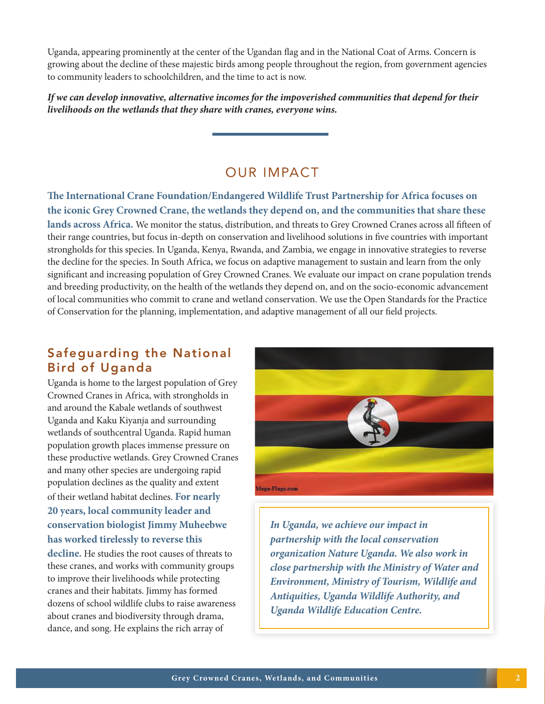Uganda, appearing prominently at the center of the Ugandan flag and in the National Coat of Arms. Concern is growing about the decline of these majestic birds among people throughout the region, from government agencies to community leaders to schoolchildren, and the time to act is now.

*If we can develop innovative, alternative incomes for the impoverished communities that depend for their livelihoods on the wetlands that they share with cranes, everyone wins.*

## OUR IMPACT

**The International Crane Foundation/Endangered Wildlife Trust Partnership for Africa focuses on the iconic Grey Crowned Crane, the wetlands they depend on, and the communities that share these** 

**lands across Africa.** We monitor the status, distribution, and threats to Grey Crowned Cranes across all fifteen of their range countries, but focus in-depth on conservation and livelihood solutions in five countries with important strongholds for this species. In Uganda, Kenya, Rwanda, and Zambia, we engage in innovative strategies to reverse the decline for the species. In South Africa, we focus on adaptive management to sustain and learn from the only significant and increasing population of Grey Crowned Cranes. We evaluate our impact on crane population trends and breeding productivity, on the health of the wetlands they depend on, and on the socio-economic advancement of local communities who commit to crane and wetland conservation. We use the Open Standards for the Practice of Conservation for the planning, implementation, and adaptive management of all our field projects.

#### Safeguarding the National Bird of Uganda

Uganda is home to the largest population of Grey Crowned Cranes in Africa, with strongholds in and around the Kabale wetlands of southwest Uganda and Kaku Kiyanja and surrounding wetlands of southcentral Uganda. Rapid human population growth places immense pressure on these productive wetlands. Grey Crowned Cranes and many other species are undergoing rapid population declines as the quality and extent of their wetland habitat declines. **For nearly 20 years, local community leader and conservation biologist Jimmy Muheebwe has worked tirelessly to reverse this** 

**decline.** He studies the root causes of threats to these cranes, and works with community groups to improve their livelihoods while protecting cranes and their habitats. Jimmy has formed dozens of school wildlife clubs to raise awareness about cranes and biodiversity through drama, dance, and song. He explains the rich array of



*In Uganda, we achieve our impact in partnership with the local conservation organization Nature Uganda. We also work in close partnership with the Ministry of Water and Environment, Ministry of Tourism, Wildlife and Antiquities, Uganda Wildlife Authority, and Uganda Wildlife Education Centre.*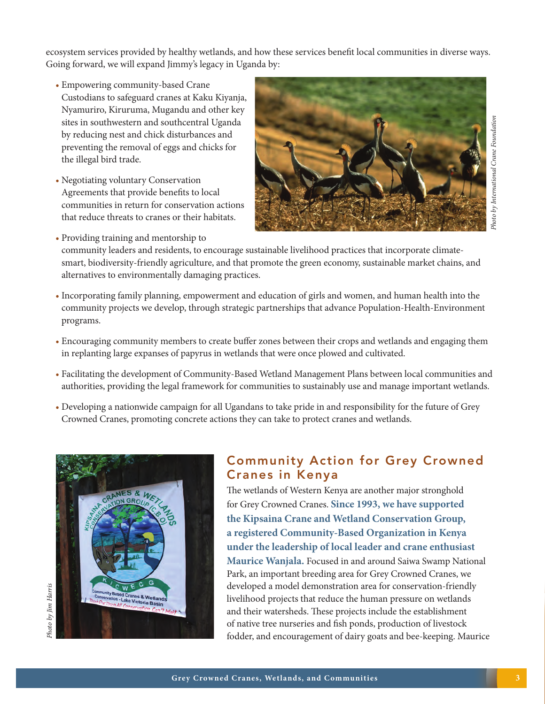ecosystem services provided by healthy wetlands, and how these services benefit local communities in diverse ways. Going forward, we will expand Jimmy's legacy in Uganda by:

- Empowering community-based Crane Custodians to safeguard cranes at Kaku Kiyanja, Nyamuriro, Kiruruma, Mugandu and other key sites in southwestern and southcentral Uganda by reducing nest and chick disturbances and preventing the removal of eggs and chicks for the illegal bird trade.
- Negotiating voluntary Conservation Agreements that provide benefits to local communities in return for conservation actions that reduce threats to cranes or their habitats.

• Providing training and mentorship to



community leaders and residents, to encourage sustainable livelihood practices that incorporate climatesmart, biodiversity-friendly agriculture, and that promote the green economy, sustainable market chains, and alternatives to environmentally damaging practices.

- Incorporating family planning, empowerment and education of girls and women, and human health into the community projects we develop, through strategic partnerships that advance Population-Health-Environment programs.
- Encouraging community members to create buffer zones between their crops and wetlands and engaging them in replanting large expanses of papyrus in wetlands that were once plowed and cultivated.
- Facilitating the development of Community-Based Wetland Management Plans between local communities and authorities, providing the legal framework for communities to sustainably use and manage important wetlands.
- Developing a nationwide campaign for all Ugandans to take pride in and responsibility for the future of Grey Crowned Cranes, promoting concrete actions they can take to protect cranes and wetlands.



## Community Action for Grey Crowned Cranes in Kenya

The wetlands of Western Kenya are another major stronghold for Grey Crowned Cranes. **Since 1993, we have supported the Kipsaina Crane and Wetland Conservation Group, a registered Community-Based Organization in Kenya under the leadership of local leader and crane enthusiast Maurice Wanjala.** Focused in and around Saiwa Swamp National Park, an important breeding area for Grey Crowned Cranes, we developed a model demonstration area for conservation-friendly livelihood projects that reduce the human pressure on wetlands and their watersheds. These projects include the establishment of native tree nurseries and fish ponds, production of livestock fodder, and encouragement of dairy goats and bee-keeping. Maurice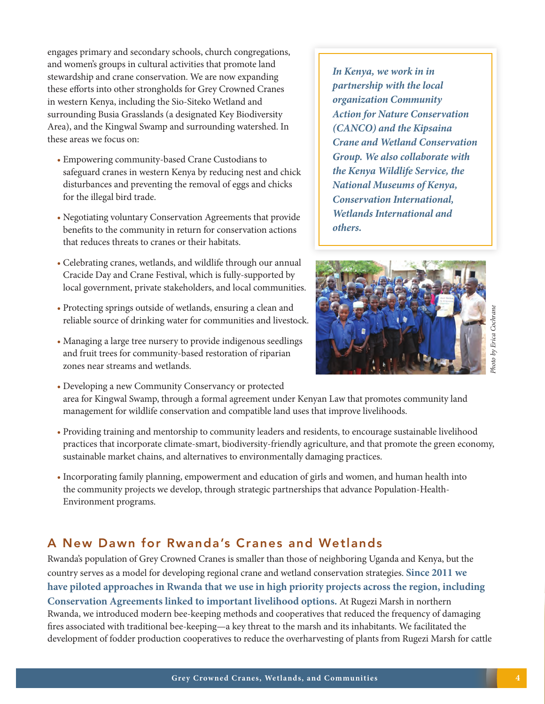engages primary and secondary schools, church congregations, and women's groups in cultural activities that promote land stewardship and crane conservation. We are now expanding these efforts into other strongholds for Grey Crowned Cranes in western Kenya, including the Sio-Siteko Wetland and surrounding Busia Grasslands (a designated Key Biodiversity Area), and the Kingwal Swamp and surrounding watershed. In these areas we focus on:

- Empowering community-based Crane Custodians to safeguard cranes in western Kenya by reducing nest and chick disturbances and preventing the removal of eggs and chicks for the illegal bird trade.
- Negotiating voluntary Conservation Agreements that provide benefits to the community in return for conservation actions that reduces threats to cranes or their habitats.
- Celebrating cranes, wetlands, and wildlife through our annual Cracide Day and Crane Festival, which is fully-supported by local government, private stakeholders, and local communities.
- Protecting springs outside of wetlands, ensuring a clean and reliable source of drinking water for communities and livestock.
- Managing a large tree nursery to provide indigenous seedlings and fruit trees for community-based restoration of riparian zones near streams and wetlands.

*In Kenya, we work in in partnership with the local organization Community Action for Nature Conservation (CANCO) and the Kipsaina Crane and Wetland Conservation Group. We also collaborate with the Kenya Wildlife Service, the National Museums of Kenya, Conservation International, Wetlands International and others.*



- Developing a new Community Conservancy or protected area for Kingwal Swamp, through a formal agreement under Kenyan Law that promotes community land management for wildlife conservation and compatible land uses that improve livelihoods.
- Providing training and mentorship to community leaders and residents, to encourage sustainable livelihood practices that incorporate climate-smart, biodiversity-friendly agriculture, and that promote the green economy, sustainable market chains, and alternatives to environmentally damaging practices.
- Incorporating family planning, empowerment and education of girls and women, and human health into the community projects we develop, through strategic partnerships that advance Population-Health-Environment programs.

## A New Dawn for Rwanda's Cranes and Wetlands

Rwanda's population of Grey Crowned Cranes is smaller than those of neighboring Uganda and Kenya, but the country serves as a model for developing regional crane and wetland conservation strategies. **Since 2011 we have piloted approaches in Rwanda that we use in high priority projects across the region, including Conservation Agreements linked to important livelihood options.** At Rugezi Marsh in northern Rwanda, we introduced modern bee-keeping methods and cooperatives that reduced the frequency of damaging fires associated with traditional bee-keeping—a key threat to the marsh and its inhabitants. We facilitated the development of fodder production cooperatives to reduce the overharvesting of plants from Rugezi Marsh for cattle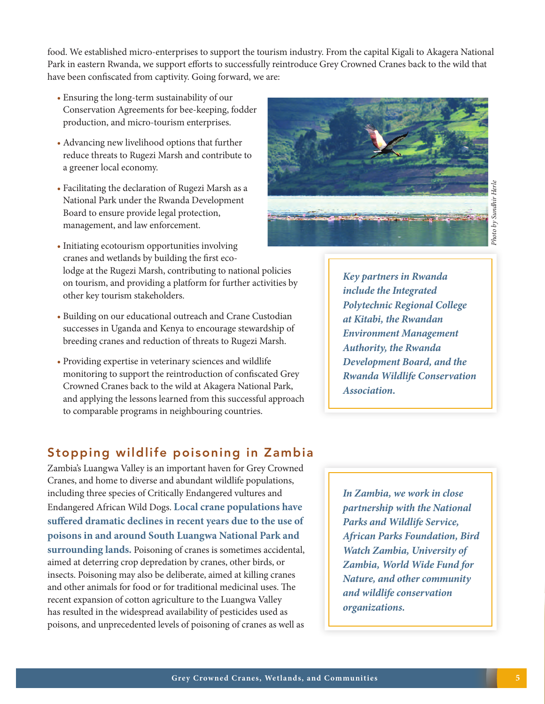food. We established micro-enterprises to support the tourism industry. From the capital Kigali to Akagera National Park in eastern Rwanda, we support efforts to successfully reintroduce Grey Crowned Cranes back to the wild that

- Board to ensure provide legal protection,
- Initiating ecotourism opportunities involving cranes and wetlands by building the first ecolodge at the Rugezi Marsh, contributing to national policies on tourism, and providing a platform for further activities by other key tourism stakeholders.
- Building on our educational outreach and Crane Custodian successes in Uganda and Kenya to encourage stewardship of breeding cranes and reduction of threats to Rugezi Marsh.
- Providing expertise in veterinary sciences and wildlife monitoring to support the reintroduction of confiscated Grey Crowned Cranes back to the wild at Akagera National Park, and applying the lessons learned from this successful approach to comparable programs in neighbouring countries.

*Key partners in Rwanda include the Integrated Polytechnic Regional College at Kitabi, the Rwandan Environment Management Authority, the Rwanda Development Board, and the Rwanda Wildlife Conservation Association.*

#### Stopping wildlife poisoning in Zambia

Zambia's Luangwa Valley is an important haven for Grey Crowned Cranes, and home to diverse and abundant wildlife populations, including three species of Critically Endangered vultures and Endangered African Wild Dogs. **Local crane populations have suffered dramatic declines in recent years due to the use of poisons in and around South Luangwa National Park and surrounding lands.** Poisoning of cranes is sometimes accidental, aimed at deterring crop depredation by cranes, other birds, or insects. Poisoning may also be deliberate, aimed at killing cranes and other animals for food or for traditional medicinal uses. The recent expansion of cotton agriculture to the Luangwa Valley has resulted in the widespread availability of pesticides used as poisons, and unprecedented levels of poisoning of cranes as well as

*In Zambia, we work in close partnership with the National Parks and Wildlife Service, African Parks Foundation, Bird Watch Zambia, University of Zambia, World Wide Fund for Nature, and other community and wildlife conservation organizations.*

#### • Ensuring the long-term sustainability of our Conservation Agreements for bee-keeping, fodder production, and micro-tourism enterprises.

have been confiscated from captivity. Going forward, we are:

- Advancing new livelihood options that further reduce threats to Rugezi Marsh and contribute to a greener local economy.
- Facilitating the declaration of Rugezi Marsh as a National Park under the Rwanda Development management, and law enforcement.

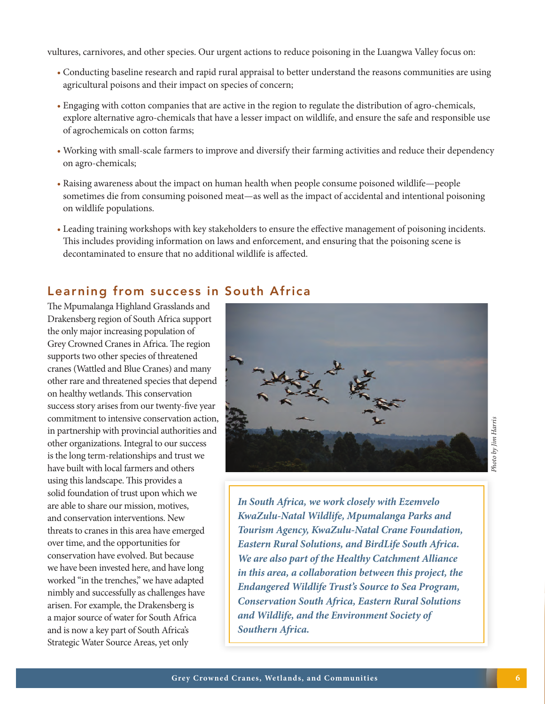vultures, carnivores, and other species. Our urgent actions to reduce poisoning in the Luangwa Valley focus on:

- Conducting baseline research and rapid rural appraisal to better understand the reasons communities are using agricultural poisons and their impact on species of concern;
- Engaging with cotton companies that are active in the region to regulate the distribution of agro-chemicals, explore alternative agro-chemicals that have a lesser impact on wildlife, and ensure the safe and responsible use of agrochemicals on cotton farms;
- Working with small-scale farmers to improve and diversify their farming activities and reduce their dependency on agro-chemicals;
- Raising awareness about the impact on human health when people consume poisoned wildlife—people sometimes die from consuming poisoned meat—as well as the impact of accidental and intentional poisoning on wildlife populations.
- Leading training workshops with key stakeholders to ensure the effective management of poisoning incidents. This includes providing information on laws and enforcement, and ensuring that the poisoning scene is decontaminated to ensure that no additional wildlife is affected.

## Learning from success in South Africa

The Mpumalanga Highland Grasslands and Drakensberg region of South Africa support the only major increasing population of Grey Crowned Cranes in Africa. The region supports two other species of threatened cranes (Wattled and Blue Cranes) and many other rare and threatened species that depend on healthy wetlands. This conservation success story arises from our twenty-five year commitment to intensive conservation action, in partnership with provincial authorities and other organizations. Integral to our success is the long term-relationships and trust we have built with local farmers and others using this landscape. This provides a solid foundation of trust upon which we are able to share our mission, motives, and conservation interventions. New threats to cranes in this area have emerged over time, and the opportunities for conservation have evolved. But because we have been invested here, and have long worked "in the trenches," we have adapted nimbly and successfully as challenges have arisen. For example, the Drakensberg is a major source of water for South Africa and is now a key part of South Africa's Strategic Water Source Areas, yet only



*In South Africa, we work closely with Ezemvelo KwaZulu-Natal Wildlife, Mpumalanga Parks and Tourism Agency, KwaZulu-Natal Crane Foundation, Eastern Rural Solutions, and BirdLife South Africa. We are also part of the Healthy Catchment Alliance in this area, a collaboration between this project, the Endangered Wildlife Trust's Source to Sea Program, Conservation South Africa, Eastern Rural Solutions and Wildlife, and the Environment Society of Southern Africa.*